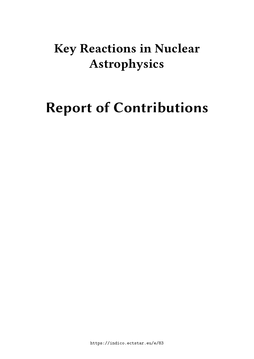## **Key Reactions in Nuclear Astrophysics**

# **Report of Contributions**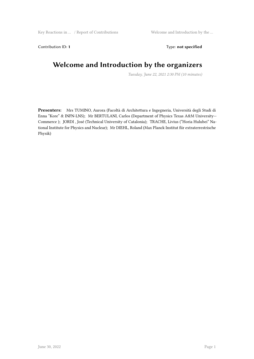Contribution ID: 1 Type: **not specified** 

#### **Welcome and Introduction by the organizers**

*Tuesday, June 22, 2021 2:30 PM (10 minutes)*

**Presenters:** Mrs TUMINO, Aurora (Facoltà di Architettura e Ingegneria, Università degli Studi di Enna "Kore" & INFN-LNS); Mr BERTULANI, Carlos (Department of Physics Texas A&M University-- Commerce ); JORDI , José (Technical University of Catalonia); TRACHE, Livius ("Horia Hulubei" National Institute for Physics and Nuclear); Mr DIEHL, Roland (Max Planck Institut fiir extraterrestrische Physik)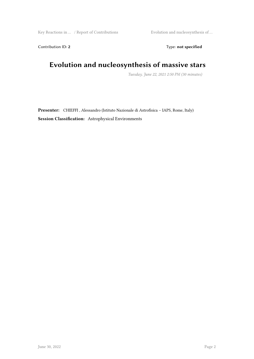Key Reactions in ... / Report of Contributions Evolution and nucleosynthesis of ...

Contribution ID: 2 Type: **not specified** 

## **Evolution and nucleosynthesis of massive stars**

*Tuesday, June 22, 2021 2:50 PM (30 minutes)*

**Presenter:** CHIEFFI , Alessandro (Istituto Nazionale di Astrofisica – IAPS, Rome, Italy) **Session Classification:** Astrophysical Environments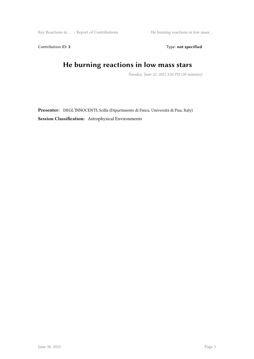Key Reactions in ... / Report of Contributions He burning reactions in low mass ...

Contribution ID: 3 Type: **not specified** 

## **He burning reactions in low mass stars**

*Tuesday, June 22, 2021 3:20 PM (30 minutes)*

**Presenter:** DEGL'INNOCENTI, Scilla (Dipartimento di Fisica, Università di Pisa, Italy) **Session Classification:** Astrophysical Environments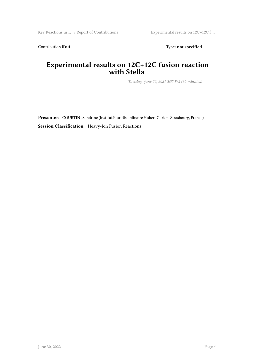Contribution ID: 4 Type: **not specified** 

#### **Experimental results on 12C+12C fusion reaction with Stella**

*Tuesday, June 22, 2021 3:55 PM (30 minutes)*

**Presenter:** COURTIN , Sandrine (Institut Pluridisciplinaire Hubert Curien, Strasbourg, France) **Session Classification:** Heavy-Ion Fusion Reactions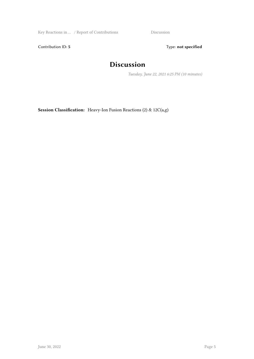Key Reactions in … / Report of Contributions Discussion

Contribution ID: 5 Type: **not specified** 

## **Discussion**

*Tuesday, June 22, 2021 6:25 PM (10 minutes)*

**Session Classification:** Heavy-Ion Fusion Reactions (2) & 12C(a,g)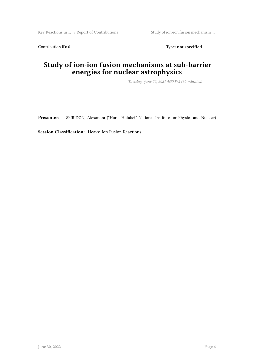Key Reactions in … / Report of Contributions Study of ion-ion fusion mechanism …

Contribution ID: 6 Type: not specified

#### **Study of ion-ion fusion mechanisms at sub-barrier energies for nuclear astrophysics**

*Tuesday, June 22, 2021 4:50 PM (30 minutes)*

**Presenter:** SPIRIDON, Alexandra ("Horia Hulubei" National Institute for Physics and Nuclear)

**Session Classification:** Heavy-Ion Fusion Reactions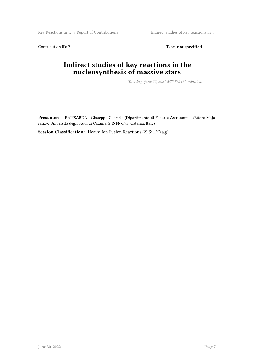Key Reactions in ... / Report of Contributions Indirect studies of key reactions in ...

Contribution ID: 7 Type: **not specified** 

#### **Indirect studies of key reactions in the nucleosynthesis of massive stars**

*Tuesday, June 22, 2021 5:25 PM (30 minutes)*

**Presenter:** RAPISARDA , Giuseppe Gabriele (Dipartimento di Fisica e Astronomia «Ettore Majorana», Università degli Studi di Catania & INFN-INS, Catania, Italy)

**Session Classification:** Heavy-Ion Fusion Reactions (2) & 12C(a,g)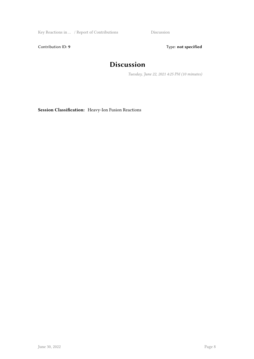Key Reactions in ... / Report of Contributions Discussion

Contribution ID: 9 Type: **not specified** 

## **Discussion**

*Tuesday, June 22, 2021 4:25 PM (10 minutes)*

**Session Classification:** Heavy-Ion Fusion Reactions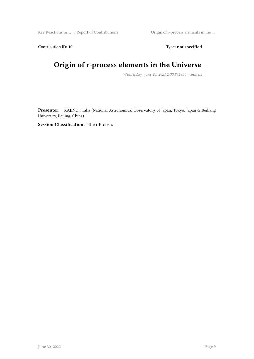Key Reactions in ... / Report of Contributions Origin of r-process elements in the ...

Contribution ID: 10 Type: not specified

## **Origin of r-process elements in the Universe**

*Wednesday, June 23, 2021 2:30 PM (30 minutes)*

**Presenter:** KAJINO , Taka (National Astronomical Observatory of Japan, Tokyo, Japan & Beihang University, Beijing, China)

**Session Classification:** The r Process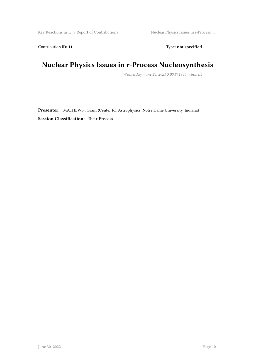Contribution ID: 11 Type: **not specified** 

## **Nuclear Physics Issues in r-Process Nucleosynthesis**

*Wednesday, June 23, 2021 3:00 PM (30 minutes)*

**Presenter:** MATHEWS , Grant (Center for Astrophysics, Notre Dame University, Indiana) **Session Classification:** The r Process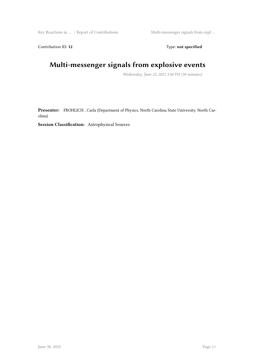Contribution ID: 12 Type: **not specified** 

## **Multi-messenger signals from explosive events**

*Wednesday, June 23, 2021 3:40 PM (30 minutes)*

**Presenter:** FROHLICH , Carla (Department of Physics, North Carolina State University, North Carolina)

**Session Classification:** Astrophysical Sources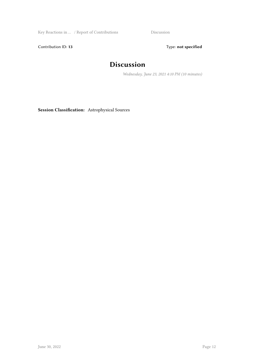Key Reactions in ... / Report of Contributions Discussion

Contribution ID: 13 Type: **not specified** 

## **Discussion**

*Wednesday, June 23, 2021 4:10 PM (10 minutes)*

**Session Classification:** Astrophysical Sources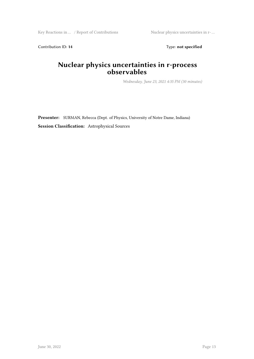Contribution ID: 14 Type: **not specified** 

#### **Nuclear physics uncertainties in r-process observables**

*Wednesday, June 23, 2021 4:35 PM (30 minutes)*

**Presenter:** SURMAN, Rebecca (Dept. of Physics, University of Notre Dame, Indiana) **Session Classification:** Astrophysical Sources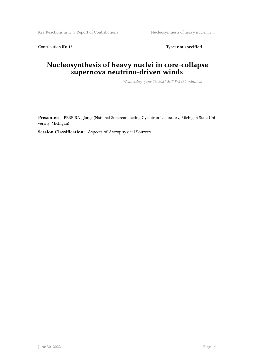Contribution ID: 15 Type: **not specified** 

#### **Nucleosynthesis of heavy nuclei in core-collapse supernova neutrino-driven winds**

*Wednesday, June 23, 2021 5:15 PM (30 minutes)*

**Presenter:** PEREIRA , Jorge (National Superconducting Cyclotron Laboratory, Michigan State University, Michigan)

**Session Classification:** Aspects of Astrophysical Sources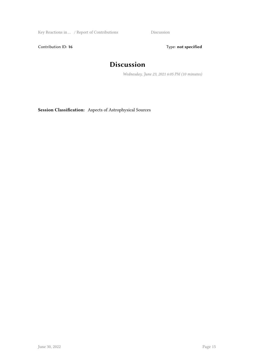Key Reactions in ... / Report of Contributions Discussion

Contribution ID: 16 Type: not specified

## **Discussion**

*Wednesday, June 23, 2021 6:05 PM (10 minutes)*

**Session Classification:** Aspects of Astrophysical Sources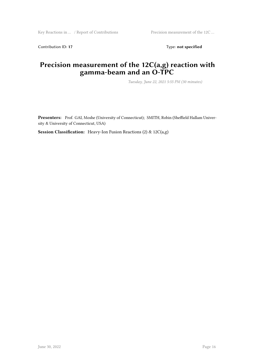Contribution ID: 17 Type: **not specified** 

#### **Precision measurement of the 12C(a,g) reaction with gamma-beam and an O-TPC**

*Tuesday, June 22, 2021 5:55 PM (30 minutes)*

**Presenters:** Prof. GAI, Moshe (University of Connecticut); SMITH, Robin (Sheffield Hallam University & University of Connecticut, USA)

**Session Classification:** Heavy-Ion Fusion Reactions (2) & 12C(a,g)